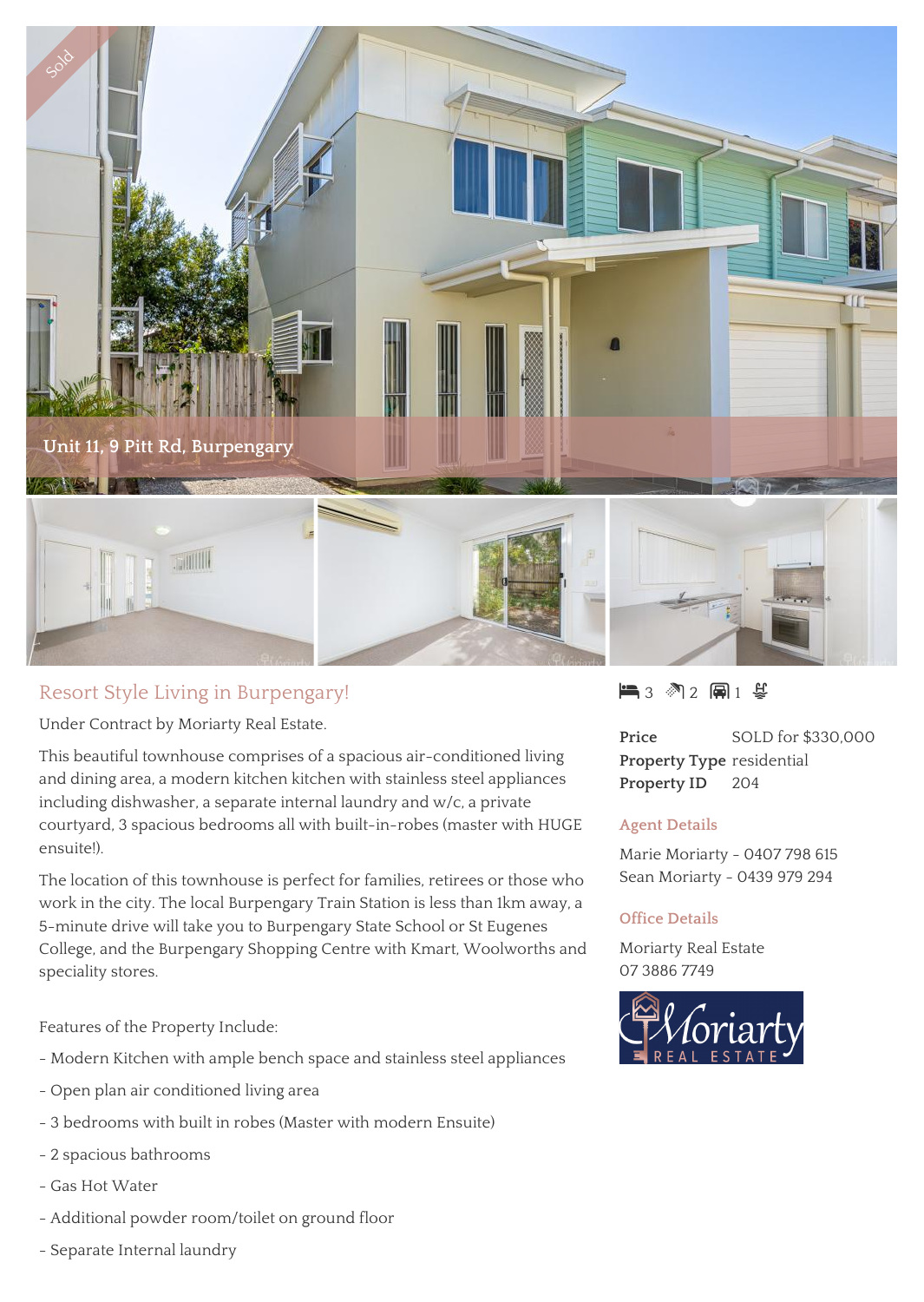

## Resort Style Living in Burpengary!

Under Contract by Moriarty Real Estate.

This beautiful townhouse comprises of a spacious air-conditioned living and dining area, a modern kitchen kitchen with stainless steel appliances including dishwasher, a separate internal laundry and w/c, a private courtyard, 3 spacious bedrooms all with built-in-robes (master with HUGE ensuite!).

The location of this townhouse is perfect for families, retirees or those who work in the city. The local Burpengary Train Station is less than 1km away, a 5-minute drive will take you to Burpengary State School or St Eugenes College, and the Burpengary Shopping Centre with Kmart, Woolworths and speciality stores.

Features of the Property Include:

- Modern Kitchen with ample bench space and stainless steel appliances
- Open plan air conditioned living area
- 3 bedrooms with built in robes (Master with modern Ensuite)
- 2 spacious bathrooms
- Gas Hot Water
- Additional powder room/toilet on ground floor
- Separate Internal laundry

 $\blacksquare$  3  $\blacksquare$  2  $\blacksquare$  1  $\gtrless$ 

**Price** SOLD for \$330,000 **Property Type** residential **Property ID** 204

## **Agent Details**

Marie Moriarty - 0407 798 615 Sean Moriarty - 0439 979 294

## **Office Details**

Moriarty Real Estate 07 3886 7749